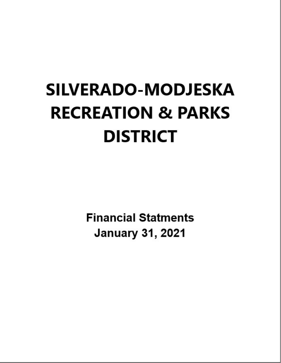# **SILVERADO-MODJESKA RECREATION & PARKS DISTRICT**

**Financial Statments January 31, 2021**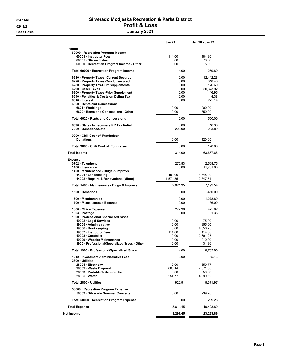#### 8:47 AM Silverado Modjeska Recreation & Parks District 02/12/21 **Profit & Loss** Cash Basis January 2021

|                                                                         | <b>Jan 21</b> | Jul '20 - Jan 21 |
|-------------------------------------------------------------------------|---------------|------------------|
| Income                                                                  |               |                  |
| 60000 · Recreation Program Income                                       |               |                  |
| 60001 Instructor Fees                                                   | 114.00        | 184.80           |
| 60005 · Sticker Sales                                                   | 0.00          | 70.00            |
| 60000 · Recreation Program Income - Other                               | 0.00          | 5.00             |
| Total 60000 · Recreation Program Income                                 | 114.00        | 259.80           |
| 6210 · Property Taxes - Current Secured                                 | 0.00          | 12,412.28        |
| 6220 · Property Taxes-Curr Unsecured                                    | 0.00          | 318.40           |
| 6280 · Property Tax-Curr Supplemental                                   | 0.00          | 176.60           |
| 6290 · Other Taxes                                                      | 0.00          | 50,373.92        |
| 6300 · Property Taxes-Prior Supplement                                  | 0.00          | 16.95            |
| 6540 · Penalties & Costs on Deling Tax                                  | 0.00          | 4.38             |
| 6610 · Interest                                                         | 0.00          | 275.14           |
| 6620 · Rents and Concessions                                            |               |                  |
| $6621 \cdot W$ eddings                                                  | 0.00          | $-900.00$        |
| 6620 · Rents and Concessions - Other                                    | 0.00          | 350.00           |
| Total 6620 · Rents and Concessions                                      | 0.00          | $-550.00$        |
| 6690 · State-Homeowners PR Tax Relief                                   | 0.00          | 16.30            |
| 7960 · Donations/Gifts                                                  | 200.00        | 233.89           |
| 9000 · Chili Cookoff Fundraiser                                         |               |                  |
| <b>Donations</b>                                                        | 0.00          | 120.00           |
| Total 9000 · Chili Cookoff Fundraiser                                   | 0.00          | 120.00           |
| <b>Total Income</b>                                                     | 314.00        | 63,657.66        |
| <b>Expense</b>                                                          |               |                  |
| 0702 · Telephone                                                        | 275.83        | 2,568.75         |
| 1100 · Insurance                                                        | 0.00          | 11,781.00        |
| 1400 · Maintenance - Bldgs & Improvs                                    |               |                  |
| 14001 · Landscaping                                                     | 450.00        | 4,345.00         |
| 14002 · Repairs & Renovations (Minor)                                   | 1,571.35      | 2,847.54         |
| Total 1400 · Maintenance - Bldgs & Improvs                              | 2,021.35      | 7,192.54         |
| 1500 · Donations                                                        | 0.00          | $-450.00$        |
| 1600 · Memberships                                                      | 0.00          | 1,278.80         |
| 1700 · Miscellaneous Expense                                            | 0.00          | 136.00           |
| 1800 · Office Expense                                                   | 277.36        | 475.82           |
| 1803 · Postage                                                          | 0.00          | 81.35            |
| 1900 · Professional/Specialized Srvcs                                   |               |                  |
| 19002 · Legal Services                                                  | 0.00          | 75.00            |
| 19005 · Administrative                                                  | 0.00          | 855.00           |
| 19006 · Bookkeeping                                                     | 0.00          | 4,056.25         |
| 19007 · Instructor Fees                                                 | 114.00        | 114.00           |
| 19008 Caretaker                                                         | 0.00          | 2,691.25         |
| 19009 · Website Maintenance                                             | 0.00          | 910.00           |
| 1900 · Professional/Specialized Srvcs - Other                           | 0.00          | 31.36            |
| Total 1900 · Professional/Specialized Srvcs                             | 114.00        | 8,732.86         |
| 1912 · Investment Administrative Fees<br>2800 · Utilities               | 0.00          | 15.43            |
| 28001 · Electricity                                                     | 0.00          | 350.77           |
| 28002 · Waste Disposal                                                  | 668.14        | 2,671.58         |
| 28003 · Portable Toilets/Septic                                         | 0.00          | 950.00           |
| 28005 Water                                                             | 254.77        | 4,399.62         |
| Total 2800 · Utilities                                                  | 922.91        | 8,371.97         |
| 50000 · Recreation Program Expense<br>50003 · Silverado Summer Concerts | 0.00          | 239.28           |
| Total 50000 · Recreation Program Expense                                | 0.00          | 239.28           |
| <b>Total Expense</b>                                                    | 3,611.45      | 40,423.80        |
| Net Income                                                              | $-3,297.45$   | 23,233.86        |
|                                                                         |               |                  |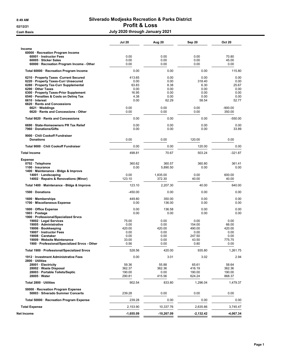#### 8:49 AM Silverado Modjeska Recreation & Parks District 02/12/21 **Profit & Loss** Cash Basis July 2020 through January 2021

|                                                                                                                                                                                                                                                                                     | <b>Jul 20</b>                                            | Aug 20                                                | Sep 20                                                  | <b>Oct 20</b>                                          |
|-------------------------------------------------------------------------------------------------------------------------------------------------------------------------------------------------------------------------------------------------------------------------------------|----------------------------------------------------------|-------------------------------------------------------|---------------------------------------------------------|--------------------------------------------------------|
| Income<br>60000 · Recreation Program Income<br>60001 · Instructor Fees<br>60005 · Sticker Sales<br>60000 · Recreation Program Income - Other                                                                                                                                        | 0.00<br>0.00<br>0.00                                     | 0.00<br>0.00<br>0.00                                  | 0.00<br>0.00<br>0.00                                    | 70.80<br>45.00<br>0.00                                 |
| Total 60000 · Recreation Program Income                                                                                                                                                                                                                                             | 0.00                                                     | 0.00                                                  | 0.00                                                    | 115.80                                                 |
| 6210 · Property Taxes - Current Secured<br>6220 · Property Taxes-Curr Unsecured<br>6280 · Property Tax-Curr Supplemental<br>6290 · Other Taxes<br>6300 · Property Taxes-Prior Supplement<br>6540 · Penalties & Costs on Deling Tax<br>6610 · Interest<br>6620 Rents and Concessions | 413.65<br>0.00<br>63.83<br>0.00<br>16.95<br>4.38<br>0.00 | 0.00<br>0.00<br>8.38<br>0.00<br>0.00<br>0.00<br>62.29 | 0.00<br>318.40<br>6.30<br>0.00<br>0.00<br>0.00<br>58.54 | 0.00<br>0.00<br>25.67<br>0.00<br>0.00<br>0.00<br>52.77 |
| $6621 \cdot W$ eddings<br>6620 · Rents and Concessions - Other                                                                                                                                                                                                                      | 0.00<br>0.00                                             | 0.00<br>0.00                                          | 0.00<br>0.00                                            | $-900.00$<br>350.00                                    |
| Total 6620 · Rents and Concessions                                                                                                                                                                                                                                                  | 0.00                                                     | 0.00                                                  | 0.00                                                    | $-550.00$                                              |
| 6690 · State-Homeowners PR Tax Relief<br>7960 Donations/Gifts                                                                                                                                                                                                                       | 0.00<br>0.00                                             | 0.00<br>0.00                                          | 0.00<br>0.00                                            | 0.00<br>33.89                                          |
| 9000 Chili Cookoff Fundraiser<br><b>Donations</b>                                                                                                                                                                                                                                   | 0.00                                                     | 0.00                                                  | 120.00                                                  | 0.00                                                   |
| Total 9000 · Chili Cookoff Fundraiser                                                                                                                                                                                                                                               | 0.00                                                     | 0.00                                                  | 120.00                                                  | 0.00                                                   |
| <b>Total Income</b>                                                                                                                                                                                                                                                                 | 498.81                                                   | 70.67                                                 | 503.24                                                  | $-321.87$                                              |
| <b>Expense</b><br>0702 · Telephone<br>1100 · Insurance<br>1400 · Maintenance - Bldgs & Improvs                                                                                                                                                                                      | 360.62<br>0.00                                           | 360.57<br>5.890.50                                    | 360.80<br>0.00                                          | 361.41<br>0.00                                         |
| 14001 · Landscaping<br>14002 · Repairs & Renovations (Minor)                                                                                                                                                                                                                        | 0.00<br>123.10                                           | 1,835.00<br>372.30                                    | 0.00<br>40.00                                           | 600.00<br>40.00                                        |
| Total 1400 · Maintenance - Bldgs & Improvs                                                                                                                                                                                                                                          | 123.10                                                   | 2,207.30                                              | 40.00                                                   | 640.00                                                 |
| 1500 Donations                                                                                                                                                                                                                                                                      | $-450.00$                                                | 0.00                                                  | 0.00                                                    | 0.00                                                   |
| 1600 Memberships<br>1700 · Miscellaneous Expense                                                                                                                                                                                                                                    | 449.80<br>0.00                                           | 350.00<br>136.00                                      | 0.00<br>0.00                                            | 0.00<br>0.00                                           |
| 1800 Office Expense<br>1803 · Postage<br>1900 · Professional/Specialized Srvcs<br>19002 · Legal Services                                                                                                                                                                            | 0.00<br>0.00<br>75.00                                    | 136.58<br>0.00<br>0.00                                | 0.00<br>0.00<br>0.00                                    | 0.00<br>0.00<br>0.00                                   |
| 19005 · Administrative<br>19006 · Bookkeeping<br>19007 · Instructor Fees<br>19008 · Caretaker<br>19009 · Website Maintenance<br>1900 · Professional/Specialized Srvcs - Other                                                                                                       | 0.00<br>420.00<br>0.00<br>0.00<br>33.00<br>0.56          | 0.00<br>420.00<br>0.00<br>0.00<br>0.00<br>0.00        | 154.00<br>490.00<br>0.00<br>247.50<br>43.50<br>0.80     | 66.00<br>420.00<br>0.00<br>0.00<br>775.75<br>0.00      |
| Total 1900 · Professional/Specialized Srvcs                                                                                                                                                                                                                                         | 528.56                                                   | 420.00                                                | 935.80                                                  | 1,261.75                                               |
| 1912 · Investment Administrative Fees<br>2800 · Utilities<br>28001 · Electricity<br>28002 · Waste Disposal<br>28003 · Portable Toilets/Septic<br>$28005 \cdot Water$                                                                                                                | 0.00<br>59.36<br>362.37<br>190.00<br>290.81              | 3.01<br>55.88<br>362.36<br>0.00<br>415.56             | 3.02<br>65.61<br>416.19<br>190.00<br>624.24             | 2.94<br>58.64<br>362.36<br>190.00<br>868.37            |
| Total 2800 · Utilities                                                                                                                                                                                                                                                              | 902.54                                                   | 833.80                                                | 1,296.04                                                | 1,479.37                                               |
| 50000 · Recreation Program Expense<br>50003 · Silverado Summer Concerts                                                                                                                                                                                                             | 239.28                                                   | 0.00                                                  | 0.00                                                    | 0.00                                                   |
| Total 50000 · Recreation Program Expense                                                                                                                                                                                                                                            | 239.28                                                   | 0.00                                                  | 0.00                                                    | 0.00                                                   |
| <b>Total Expense</b>                                                                                                                                                                                                                                                                | 2,153.90                                                 | 10,337.76                                             | 2,635.66                                                | 3,745.47                                               |
| Net Income                                                                                                                                                                                                                                                                          | $-1,655.09$                                              | -10,267.09                                            | -2,132.42                                               | -4,067.34                                              |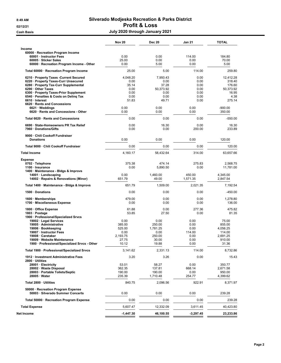#### 8:49 AM Silverado Modjeska Recreation & Parks District 02/12/21 **Profit & Loss** Cash Basis July 2020 through January 2021

|                                                                                                                                                                                                                                                                                           | <b>Nov 20</b>                                                                    | <b>Dec 20</b>                                                                   | Jan 21                                                                   | <b>TOTAL</b>                                                                            |
|-------------------------------------------------------------------------------------------------------------------------------------------------------------------------------------------------------------------------------------------------------------------------------------------|----------------------------------------------------------------------------------|---------------------------------------------------------------------------------|--------------------------------------------------------------------------|-----------------------------------------------------------------------------------------|
| Income<br>60000 · Recreation Program Income<br>60001 · Instructor Fees<br>60005 · Sticker Sales<br>60000 · Recreation Program Income - Other                                                                                                                                              | 0.00<br>25.00<br>0.00                                                            | 0.00<br>0.00<br>5.00                                                            | 114.00<br>0.00<br>0.00                                                   | 184.80<br>70.00<br>5.00                                                                 |
| Total 60000 · Recreation Program Income                                                                                                                                                                                                                                                   | 25.00                                                                            | 5.00                                                                            | 114.00                                                                   | 259.80                                                                                  |
| 6210 · Property Taxes - Current Secured<br>6220 · Property Taxes-Curr Unsecured<br>6280 · Property Tax-Curr Supplemental<br>6290 Other Taxes<br>6300 · Property Taxes-Prior Supplement<br>6540 · Penalties & Costs on Deling Tax<br>6610 · Interest                                       | 4,048.20<br>0.00<br>35.14<br>0.00<br>0.00<br>0.00<br>51.83                       | 7,950.43<br>0.00<br>37.28<br>50,373.92<br>0.00<br>0.00<br>49.71                 | 0.00<br>0.00<br>0.00<br>0.00<br>0.00<br>0.00<br>0.00                     | 12,412.28<br>318.40<br>176.60<br>50.373.92<br>16.95<br>4.38<br>275.14                   |
| 6620 · Rents and Concessions<br>$6621 \cdot W$ eddings<br>6620 · Rents and Concessions - Other                                                                                                                                                                                            | 0.00<br>0.00                                                                     | 0.00<br>0.00                                                                    | 0.00<br>0.00                                                             | $-900.00$<br>350.00                                                                     |
| Total 6620 · Rents and Concessions                                                                                                                                                                                                                                                        | 0.00                                                                             | 0.00                                                                            | 0.00                                                                     | $-550.00$                                                                               |
| 6690 · State-Homeowners PR Tax Relief<br>7960 Donations/Gifts                                                                                                                                                                                                                             | 0.00<br>0.00                                                                     | 16.30<br>0.00                                                                   | 0.00<br>200.00                                                           | 16.30<br>233.89                                                                         |
| 9000 Chili Cookoff Fundraiser<br><b>Donations</b>                                                                                                                                                                                                                                         | 0.00                                                                             | 0.00                                                                            | 0.00                                                                     | 120.00                                                                                  |
| Total 9000 · Chili Cookoff Fundraiser                                                                                                                                                                                                                                                     | 0.00                                                                             | 0.00                                                                            | 0.00                                                                     | 120.00                                                                                  |
| <b>Total Income</b>                                                                                                                                                                                                                                                                       | 4,160.17                                                                         | 58,432.64                                                                       | 314.00                                                                   | 63,657.66                                                                               |
| <b>Expense</b><br>0702 · Telephone<br>1100 · Insurance<br>1400 · Maintenance - Bldgs & Improvs<br>14001 · Landscaping<br>14002 · Repairs & Renovations (Minor)                                                                                                                            | 375.38<br>0.00<br>0.00<br>651.79                                                 | 474.14<br>5,890.50<br>1,460.00<br>49.00                                         | 275.83<br>0.00<br>450.00<br>1,571.35                                     | 2,568.75<br>11,781.00<br>4,345.00<br>2,847.54                                           |
| Total 1400 · Maintenance - Bldgs & Improvs                                                                                                                                                                                                                                                | 651.79                                                                           | 1,509.00                                                                        | 2,021.35                                                                 | 7,192.54                                                                                |
| 1500 · Donations                                                                                                                                                                                                                                                                          | 0.00                                                                             | 0.00                                                                            | 0.00                                                                     | $-450.00$                                                                               |
| 1600 Memberships<br>1700 · Miscellaneous Expense                                                                                                                                                                                                                                          | 479.00<br>0.00                                                                   | 0.00<br>0.00                                                                    | 0.00<br>0.00                                                             | 1,278.80<br>136.00                                                                      |
| 1800 Office Expense<br>1803 · Postage<br>1900 · Professional/Specialized Srvcs<br>19002 · Legal Services<br>19005 · Administrative<br>19006 · Bookkeeping<br>19007 · Instructor Fees<br>19008 · Caretaker<br>19009 · Website Maintenance<br>1900 · Professional/Specialized Srvcs - Other | 61.88<br>53.85<br>0.00<br>385.00<br>525.00<br>0.00<br>2,193.75<br>27.75<br>10.12 | 0.00<br>27.50<br>0.00<br>250.00<br>1,781.25<br>0.00<br>250.00<br>30.00<br>19.88 | 277.36<br>0.00<br>0.00<br>0.00<br>0.00<br>114.00<br>0.00<br>0.00<br>0.00 | 475.82<br>81.35<br>75.00<br>855.00<br>4,056.25<br>114.00<br>2,691.25<br>910.00<br>31.36 |
| Total 1900 · Professional/Specialized Srvcs                                                                                                                                                                                                                                               | 3,141.62                                                                         | 2,331.13                                                                        | 114.00                                                                   | 8,732.86                                                                                |
| 1912 · Investment Administrative Fees<br>2800 · Utilities<br>28001 · Electricity<br>28002 · Waste Disposal<br>28003 · Portable Toilets/Septic<br>$28005 \cdot Water$                                                                                                                      | 3.20<br>53.01<br>362.35<br>190.00<br>235.39                                      | 3.26<br>58.27<br>137.81<br>190.00<br>1,710.48                                   | 0.00<br>0.00<br>668.14<br>0.00<br>254.77                                 | 15.43<br>350.77<br>2,671.58<br>950.00<br>4,399.62                                       |
| Total 2800 · Utilities                                                                                                                                                                                                                                                                    | 840.75                                                                           | 2,096.56                                                                        | 922.91                                                                   | 8,371.97                                                                                |
| 50000 · Recreation Program Expense<br>50003 · Silverado Summer Concerts                                                                                                                                                                                                                   | 0.00                                                                             | 0.00                                                                            | 0.00                                                                     | 239.28                                                                                  |
| Total 50000 · Recreation Program Expense                                                                                                                                                                                                                                                  | 0.00                                                                             | 0.00                                                                            | 0.00                                                                     | 239.28                                                                                  |
| <b>Total Expense</b>                                                                                                                                                                                                                                                                      | 5,607.47                                                                         | 12,332.09                                                                       | 3,611.45                                                                 | 40,423.80                                                                               |
| Net Income                                                                                                                                                                                                                                                                                | $-1,447.30$                                                                      | 46,100.55                                                                       | $-3,297.45$                                                              | 23,233.86                                                                               |
|                                                                                                                                                                                                                                                                                           |                                                                                  |                                                                                 |                                                                          |                                                                                         |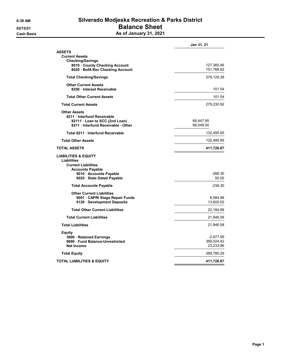### 8:39 AM Silverado Modjeska Recreation & Parks District 02/12/21 **Balance Sheet** Cash Basis **As of January 31, 2021**

|                                                           | Jan 31, 21               |
|-----------------------------------------------------------|--------------------------|
| <b>ASSETS</b>                                             |                          |
| <b>Current Assets</b>                                     |                          |
| <b>Checking/Savings</b><br>8010 County Checking Account   |                          |
| 8020 · BofA Rec Checking Account                          | 127,360.46<br>151,768.92 |
| <b>Total Checking/Savings</b>                             | 279,129.38               |
|                                                           |                          |
| <b>Other Current Assets</b><br>8250 · Interest Receivable | 101.54                   |
| <b>Total Other Current Assets</b>                         | 101.54                   |
| <b>Total Current Assets</b>                               | 279,230.92               |
| <b>Other Assets</b>                                       |                          |
| 8211 Interfund Receivable                                 |                          |
| 82111 · Loan to SCC (2nd Loan)                            | 66,447.95                |
| 8211 Interfund Receivable - Other                         | 66,048.00                |
| Total 8211 Interfund Receivable                           | 132,495.95               |
| <b>Total Other Assets</b>                                 | 132,495.95               |
| <b>TOTAL ASSETS</b>                                       | 411,726.87               |
| <b>LIABILITIES &amp; EQUITY</b>                           |                          |
| Liabilities                                               |                          |
| <b>Current Liabilities</b>                                |                          |
| <b>Accounts Payable</b>                                   | $-288.30$                |
| 9010 · Accounts Payable<br>9025 · Stale Dated Payable     | 50.00                    |
|                                                           |                          |
| <b>Total Accounts Payable</b>                             | -238.30                  |
| <b>Other Current Liabilities</b>                          |                          |
| 9001 · CAPRI Stage Repair Funds                           | 8,584.88                 |
| 9120 · Development Deposits                               | 13,600.00                |
| <b>Total Other Current Liabilities</b>                    | 22,184.88                |
| <b>Total Current Liabilities</b>                          | 21,946.58                |
| <b>Total Liabilities</b>                                  | 21,946.58                |
| Equity                                                    |                          |
| 3900 · Retained Earnings                                  | $-2,977.99$              |
| 9990 · Fund Balance-Unrestricted                          | 369,524.42               |
| <b>Net Income</b>                                         | 23,233.86                |
| <b>Total Equity</b>                                       | 389,780.29               |
| <b>TOTAL LIABILITIES &amp; EQUITY</b>                     | 411,726.87               |
|                                                           |                          |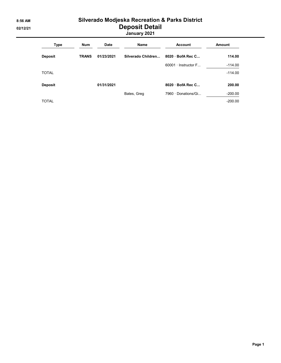## 8:56 AM Silverado Modjeska Recreation & Parks District 02/12/21 Deposit Detail

January 2021

| Type           | <b>Num</b>   | <b>Date</b> | Name               | <b>Account</b>             | <b>Amount</b> |
|----------------|--------------|-------------|--------------------|----------------------------|---------------|
| <b>Deposit</b> | <b>TRANS</b> | 01/23/2021  | Silverado Children | $8020 \cdot$ BofA Rec C    | 114.00        |
|                |              |             |                    | $60001 \cdot$ Instructor F | $-114.00$     |
| <b>TOTAL</b>   |              |             |                    |                            | $-114.00$     |
| <b>Deposit</b> |              | 01/31/2021  |                    | 8020 · BofA Rec C          | 200.00        |
|                |              |             | Bates, Greg        | 7960 · Donations/Gi        | $-200.00$     |
| <b>TOTAL</b>   |              |             |                    |                            | $-200.00$     |